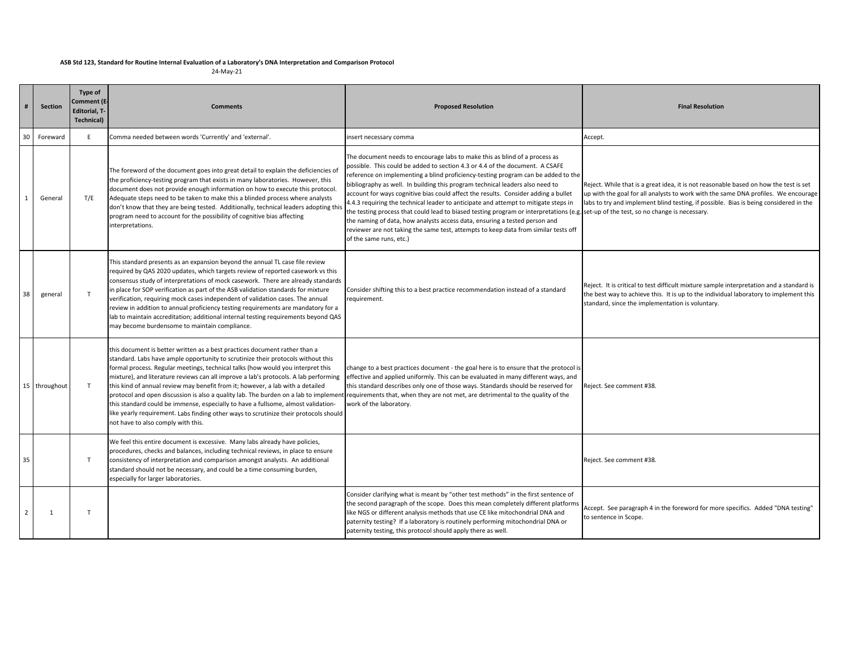## ASB Std 123, Standard for Routine Internal Evaluation of a Laboratory's DNA Interpretation and Comparison Protocol

24‐May‐21

|                | <b>Section</b> | Type of<br><b>Comment (E</b><br><b>Editorial, T-</b><br>Technical) | <b>Comments</b>                                                                                                                                                                                                                                                                                                                                                                                                                                                                                                                                                                                                                                                                                                                                                                                                         | <b>Proposed Resolution</b>                                                                                                                                                                                                                                                                                                                                                                                                                                                                                                                                                                                                                                                                                                                                                                                                                             | <b>Final Resolution</b>                                                                                                                                                                                                                                              |
|----------------|----------------|--------------------------------------------------------------------|-------------------------------------------------------------------------------------------------------------------------------------------------------------------------------------------------------------------------------------------------------------------------------------------------------------------------------------------------------------------------------------------------------------------------------------------------------------------------------------------------------------------------------------------------------------------------------------------------------------------------------------------------------------------------------------------------------------------------------------------------------------------------------------------------------------------------|--------------------------------------------------------------------------------------------------------------------------------------------------------------------------------------------------------------------------------------------------------------------------------------------------------------------------------------------------------------------------------------------------------------------------------------------------------------------------------------------------------------------------------------------------------------------------------------------------------------------------------------------------------------------------------------------------------------------------------------------------------------------------------------------------------------------------------------------------------|----------------------------------------------------------------------------------------------------------------------------------------------------------------------------------------------------------------------------------------------------------------------|
| 30             | Foreward       | E                                                                  | Comma needed between words 'Currently' and 'external'.                                                                                                                                                                                                                                                                                                                                                                                                                                                                                                                                                                                                                                                                                                                                                                  | nsert necessary comma                                                                                                                                                                                                                                                                                                                                                                                                                                                                                                                                                                                                                                                                                                                                                                                                                                  | Accept.                                                                                                                                                                                                                                                              |
| $\mathbf{1}$   | General        | T/E                                                                | The foreword of the document goes into great detail to explain the deficiencies of<br>the proficiency-testing program that exists in many laboratories. However, this<br>document does not provide enough information on how to execute this protocol.<br>Adequate steps need to be taken to make this a blinded process where analysts<br>don't know that they are being tested. Additionally, technical leaders adopting this<br>program need to account for the possibility of cognitive bias affecting<br>interpretations.                                                                                                                                                                                                                                                                                          | The document needs to encourage labs to make this as blind of a process as<br>possible. This could be added to section 4.3 or 4.4 of the document. A CSAFE<br>reference on implementing a blind proficiency-testing program can be added to the<br>bibliography as well. In building this program technical leaders also need to<br>account for ways cognitive bias could affect the results. Consider adding a bullet<br>4.4.3 requiring the technical leader to anticipate and attempt to mitigate steps in<br>the testing process that could lead to biased testing program or interpretations (e.g. set-up of the test, so no change is necessary.<br>the naming of data, how analysts access data, ensuring a tested person and<br>reviewer are not taking the same test, attempts to keep data from similar tests off<br>of the same runs, etc.) | Reject. While that is a great idea, it is not reasonable based on how the test is set<br>up with the goal for all analysts to work with the same DNA profiles. We encourage<br>labs to try and implement blind testing, if possible. Bias is being considered in the |
| 38             | general        | T                                                                  | This standard presents as an expansion beyond the annual TL case file review<br>required by QAS 2020 updates, which targets review of reported casework vs this<br>consensus study of interpretations of mock casework. There are already standards<br>in place for SOP verification as part of the ASB validation standards for mixture<br>verification, requiring mock cases independent of validation cases. The annual<br>review in addition to annual proficiency testing requirements are mandatory for a<br>lab to maintain accreditation; additional internal testing requirements beyond QAS<br>may become burdensome to maintain compliance.                                                                                                                                                                  | Consider shifting this to a best practice recommendation instead of a standard<br>requirement.                                                                                                                                                                                                                                                                                                                                                                                                                                                                                                                                                                                                                                                                                                                                                         | Reject. It is critical to test difficult mixture sample interpretation and a standard is<br>the best way to achieve this. It is up to the individual laboratory to implement this<br>standard, since the implementation is voluntary.                                |
|                | 15 throughout  | $\mathsf{T}$                                                       | this document is better written as a best practices document rather than a<br>standard. Labs have ample opportunity to scrutinize their protocols without this<br>formal process. Regular meetings, technical talks (how would you interpret this<br>mixture), and literature reviews can all improve a lab's protocols. A lab performing<br>this kind of annual review may benefit from it; however, a lab with a detailed<br>protocol and open discussion is also a quality lab. The burden on a lab to implement requirements that, when they are not met, are detrimental to the quality of the<br>this standard could be immense, especially to have a fullsome, almost validation-<br>like yearly requirement. Labs finding other ways to scrutinize their protocols should<br>not have to also comply with this. | change to a best practices document - the goal here is to ensure that the protocol is<br>effective and applied uniformly. This can be evaluated in many different ways, and<br>this standard describes only one of those ways. Standards should be reserved for<br>work of the laboratory.                                                                                                                                                                                                                                                                                                                                                                                                                                                                                                                                                             | Reject. See comment #38.                                                                                                                                                                                                                                             |
| 35             |                | T                                                                  | We feel this entire document is excessive. Many labs already have policies,<br>procedures, checks and balances, including technical reviews, in place to ensure<br>consistency of interpretation and comparison amongst analysts. An additional<br>standard should not be necessary, and could be a time consuming burden,<br>especially for larger laboratories.                                                                                                                                                                                                                                                                                                                                                                                                                                                       |                                                                                                                                                                                                                                                                                                                                                                                                                                                                                                                                                                                                                                                                                                                                                                                                                                                        | Reject. See comment #38.                                                                                                                                                                                                                                             |
| $\overline{2}$ | 1              | $\mathsf{T}$                                                       |                                                                                                                                                                                                                                                                                                                                                                                                                                                                                                                                                                                                                                                                                                                                                                                                                         | Consider clarifying what is meant by "other test methods" in the first sentence of<br>the second paragraph of the scope. Does this mean completely different platforms<br>like NGS or different analysis methods that use CE like mitochondrial DNA and<br>paternity testing? If a laboratory is routinely performing mitochondrial DNA or<br>paternity testing, this protocol should apply there as well.                                                                                                                                                                                                                                                                                                                                                                                                                                             | Accept. See paragraph 4 in the foreword for more specifics. Added "DNA testing"<br>to sentence in Scope.                                                                                                                                                             |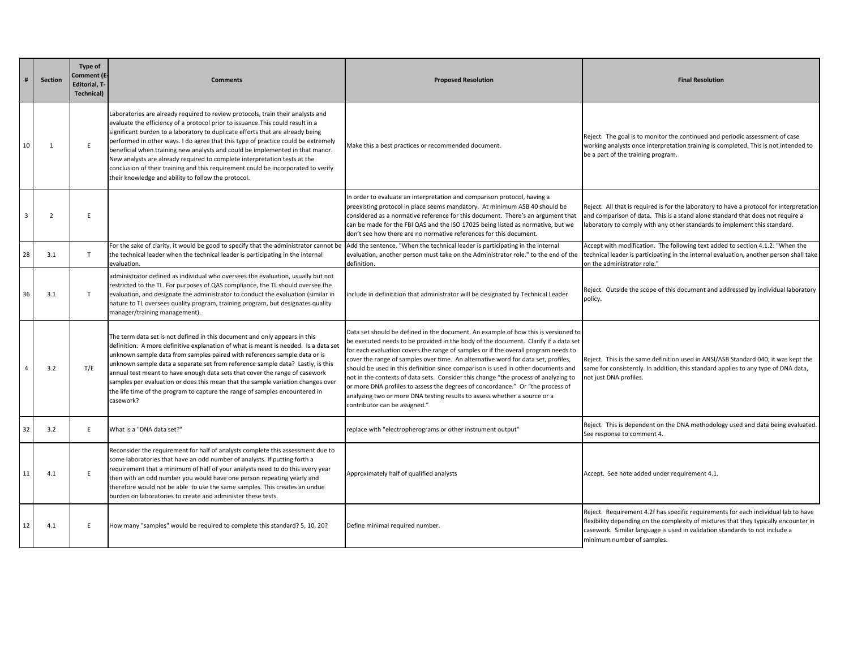|                | Section        | Type of<br>Comment (E-<br><b>Editorial, T-</b><br><b>Technical)</b> | <b>Comments</b>                                                                                                                                                                                                                                                                                                                                                                                                                                                                                                                                                                                                                                     | <b>Proposed Resolution</b>                                                                                                                                                                                                                                                                                                                                                                                                                                                                                                                                                                                                                                                                                                       | <b>Final Resolution</b>                                                                                                                                                                                                                                                                 |
|----------------|----------------|---------------------------------------------------------------------|-----------------------------------------------------------------------------------------------------------------------------------------------------------------------------------------------------------------------------------------------------------------------------------------------------------------------------------------------------------------------------------------------------------------------------------------------------------------------------------------------------------------------------------------------------------------------------------------------------------------------------------------------------|----------------------------------------------------------------------------------------------------------------------------------------------------------------------------------------------------------------------------------------------------------------------------------------------------------------------------------------------------------------------------------------------------------------------------------------------------------------------------------------------------------------------------------------------------------------------------------------------------------------------------------------------------------------------------------------------------------------------------------|-----------------------------------------------------------------------------------------------------------------------------------------------------------------------------------------------------------------------------------------------------------------------------------------|
| 10             | 1              | E                                                                   | Laboratories are already required to review protocols, train their analysts and<br>evaluate the efficiency of a protocol prior to issuance. This could result in a<br>significant burden to a laboratory to duplicate efforts that are already being<br>performed in other ways. I do agree that this type of practice could be extremely<br>beneficial when training new analysts and could be implemented in that manor.<br>New analysts are already required to complete interpretation tests at the<br>conclusion of their training and this requirement could be incorporated to verify<br>their knowledge and ability to follow the protocol. | Make this a best practices or recommended document.                                                                                                                                                                                                                                                                                                                                                                                                                                                                                                                                                                                                                                                                              | Reject. The goal is to monitor the continued and periodic assessment of case<br>working analysts once interpretation training is completed. This is not intended to<br>be a part of the training program.                                                                               |
| $\overline{3}$ | $\overline{2}$ | E                                                                   |                                                                                                                                                                                                                                                                                                                                                                                                                                                                                                                                                                                                                                                     | In order to evaluate an interpretation and comparison protocol, having a<br>preexisting protocol in place seems mandatory. At minimum ASB 40 should be<br>considered as a normative reference for this document. There's an argument that<br>can be made for the FBI QAS and the ISO 17025 being listed as normative, but we<br>don't see how there are no normative references for this document.                                                                                                                                                                                                                                                                                                                               | Reject. All that is required is for the laboratory to have a protocol for interpretation<br>and comparison of data. This is a stand alone standard that does not require a<br>laboratory to comply with any other standards to implement this standard.                                 |
| 28             | 3.1            | T                                                                   | For the sake of clarity, it would be good to specify that the administrator cannot be<br>the technical leader when the technical leader is participating in the internal<br>evaluation.                                                                                                                                                                                                                                                                                                                                                                                                                                                             | Add the sentence, "When the technical leader is participating in the internal<br>evaluation, another person must take on the Administrator role." to the end of the<br>definition.                                                                                                                                                                                                                                                                                                                                                                                                                                                                                                                                               | Accept with modification. The following text added to section 4.1.2: "When the<br>technical leader is participating in the internal evaluation, another person shall take<br>on the administrator role."                                                                                |
| 36             | 3.1            | T                                                                   | administrator defined as individual who oversees the evaluation, usually but not<br>restricted to the TL. For purposes of QAS compliance, the TL should oversee the<br>evaluation, and designate the administrator to conduct the evaluation (similar in<br>nature to TL oversees quality program, training program, but designates quality<br>manager/training management).                                                                                                                                                                                                                                                                        | include in definitition that administrator will be designated by Technical Leader                                                                                                                                                                                                                                                                                                                                                                                                                                                                                                                                                                                                                                                | Reject. Outside the scope of this document and addressed by individual laboratory<br>policy.                                                                                                                                                                                            |
| $\overline{4}$ | 3.2            | T/E                                                                 | The term data set is not defined in this document and only appears in this<br>definition. A more definitive explanation of what is meant is needed. Is a data set<br>unknown sample data from samples paired with references sample data or is<br>unknown sample data a separate set from reference sample data? Lastly, is this<br>annual test meant to have enough data sets that cover the range of casework<br>samples per evaluation or does this mean that the sample variation changes over<br>the life time of the program to capture the range of samples encountered in<br>casework?                                                      | Data set should be defined in the document. An example of how this is versioned to<br>be executed needs to be provided in the body of the document. Clarify if a data set<br>for each evaluation covers the range of samples or if the overall program needs to<br>cover the range of samples over time. An alternative word for data set, profiles,<br>should be used in this definition since comparison is used in other documents and<br>not in the contexts of data sets. Consider this change "the process of analyzing to<br>or more DNA profiles to assess the degrees of concordance." Or "the process of<br>analyzing two or more DNA testing results to assess whether a source or a<br>contributor can be assigned." | Reject. This is the same definition used in ANSI/ASB Standard 040; it was kept the<br>same for consistently. In addition, this standard applies to any type of DNA data,<br>not just DNA profiles.                                                                                      |
| 32             | 3.2            | E.                                                                  | What is a "DNA data set?"                                                                                                                                                                                                                                                                                                                                                                                                                                                                                                                                                                                                                           | replace with "electropherograms or other instrument output"                                                                                                                                                                                                                                                                                                                                                                                                                                                                                                                                                                                                                                                                      | Reject. This is dependent on the DNA methodology used and data being evaluated.<br>See response to comment 4.                                                                                                                                                                           |
| 11             | 4.1            | E                                                                   | Reconsider the requirement for half of analysts complete this assessment due to<br>some laboratories that have an odd number of analysts. If putting forth a<br>requirement that a minimum of half of your analysts need to do this every year<br>then with an odd number you would have one person repeating yearly and<br>therefore would not be able to use the same samples. This creates an undue<br>burden on laboratories to create and administer these tests.                                                                                                                                                                              | Approximately half of qualified analysts                                                                                                                                                                                                                                                                                                                                                                                                                                                                                                                                                                                                                                                                                         | Accept. See note added under requirement 4.1.                                                                                                                                                                                                                                           |
| 12             | 4.1            | E.                                                                  | How many "samples" would be required to complete this standard? 5, 10, 20?                                                                                                                                                                                                                                                                                                                                                                                                                                                                                                                                                                          | Define minimal required number.                                                                                                                                                                                                                                                                                                                                                                                                                                                                                                                                                                                                                                                                                                  | Reject. Requirement 4.2f has specific requirements for each individual lab to have<br>flexibility depending on the complexity of mixtures that they typically encounter in<br>casework. Similar language is used in validation standards to not include a<br>minimum number of samples. |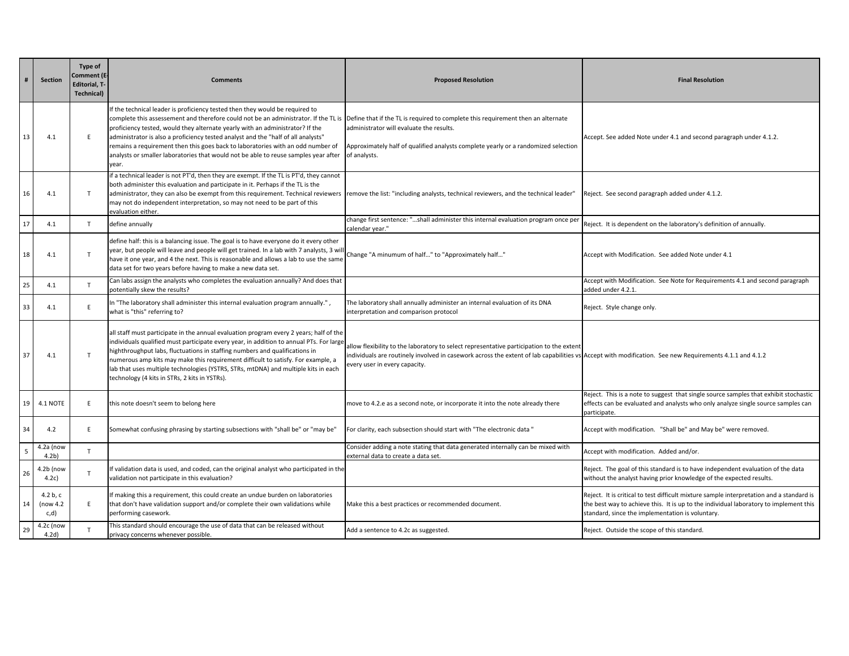|    | Section                         | Type of<br>Comment (E-<br><b>Editorial, T-</b><br><b>Technical)</b> | <b>Comments</b>                                                                                                                                                                                                                                                                                                                                                                                                                                                                                                              | <b>Proposed Resolution</b>                                                                                                                                                                                                                                                          | <b>Final Resolution</b>                                                                                                                                                                                                               |
|----|---------------------------------|---------------------------------------------------------------------|------------------------------------------------------------------------------------------------------------------------------------------------------------------------------------------------------------------------------------------------------------------------------------------------------------------------------------------------------------------------------------------------------------------------------------------------------------------------------------------------------------------------------|-------------------------------------------------------------------------------------------------------------------------------------------------------------------------------------------------------------------------------------------------------------------------------------|---------------------------------------------------------------------------------------------------------------------------------------------------------------------------------------------------------------------------------------|
| 13 | 4.1                             | F                                                                   | If the technical leader is proficiency tested then they would be required to<br>complete this assessement and therefore could not be an administrator. If the TL is<br>proficiency tested, would they alternate yearly with an administrator? If the<br>administrator is also a proficiency tested analyst and the "half of all analysts"<br>remains a requirement then this goes back to laboratories with an odd number of<br>analysts or smaller laboratories that would not be able to reuse samples year after<br>year. | Define that if the TL is required to complete this requirement then an alternate<br>administrator will evaluate the results.<br>Approximately half of qualified analysts complete yearly or a randomized selection<br>of analysts.                                                  | Accept. See added Note under 4.1 and second paragraph under 4.1.2.                                                                                                                                                                    |
| 16 | 4.1                             | T                                                                   | if a technical leader is not PT'd, then they are exempt. If the TL is PT'd, they cannot<br>both administer this evaluation and participate in it. Perhaps if the TL is the<br>administrator, they can also be exempt from this requirement. Technical reviewers<br>may not do independent interpretation, so may not need to be part of this<br>evaluation either.                                                                                                                                                           | remove the list: "including analysts, technical reviewers, and the technical leader"                                                                                                                                                                                                | Reject. See second paragraph added under 4.1.2.                                                                                                                                                                                       |
| 17 | 4.1                             | T                                                                   | define annually                                                                                                                                                                                                                                                                                                                                                                                                                                                                                                              | change first sentence: "shall administer this internal evaluation program once per<br>calendar year."                                                                                                                                                                               | Reject. It is dependent on the laboratory's definition of annually.                                                                                                                                                                   |
| 18 | 4.1                             | $\mathsf{T}$                                                        | define half: this is a balancing issue. The goal is to have everyone do it every other<br>year, but people will leave and people will get trained. In a lab with 7 analysts, 3 wil<br>have it one year, and 4 the next. This is reasonable and allows a lab to use the same<br>data set for two years before having to make a new data set.                                                                                                                                                                                  | Change "A minumum of half" to "Approximately half"                                                                                                                                                                                                                                  | Accept with Modification. See added Note under 4.1                                                                                                                                                                                    |
| 25 | 4.1                             | T                                                                   | Can labs assign the analysts who completes the evaluation annually? And does that<br>potentially skew the results?                                                                                                                                                                                                                                                                                                                                                                                                           |                                                                                                                                                                                                                                                                                     | Accept with Modification. See Note for Requirements 4.1 and second paragraph<br>added under 4.2.1.                                                                                                                                    |
| 33 | 4.1                             | E                                                                   | In "The laboratory shall administer this internal evaluation program annually.",<br>what is "this" referring to?                                                                                                                                                                                                                                                                                                                                                                                                             | The laboratory shall annually administer an internal evaluation of its DNA<br>interpretation and comparison protocol                                                                                                                                                                | Reject. Style change only.                                                                                                                                                                                                            |
| 37 | 4.1                             | T                                                                   | all staff must participate in the annual evaluation program every 2 years; half of the<br>individuals qualified must participate every year, in addition to annual PTs. For large<br>highthroughput labs, fluctuations in staffing numbers and qualifications in<br>numerous amp kits may make this requirement difficult to satisfy. For example, a<br>lab that uses multiple technologies (YSTRS, STRs, mtDNA) and multiple kits in each<br>technology (4 kits in STRs, 2 kits in YSTRs).                                  | allow flexibility to the laboratory to select representative participation to the extent<br>individuals are routinely involved in casework across the extent of lab capabilities vs Accept with modification. See new Requirements 4.1.1 and 4.1.2<br>every user in every capacity. |                                                                                                                                                                                                                                       |
| 19 | 4.1 NOTE                        | E.                                                                  | this note doesn't seem to belong here                                                                                                                                                                                                                                                                                                                                                                                                                                                                                        | move to 4.2.e as a second note, or incorporate it into the note already there                                                                                                                                                                                                       | Reject. This is a note to suggest that single source samples that exhibit stochastic<br>effects can be evaluated and analysts who only analyze single source samples can<br>participate.                                              |
| 34 | 4.2                             | E.                                                                  | Somewhat confusing phrasing by starting subsections with "shall be" or "may be"                                                                                                                                                                                                                                                                                                                                                                                                                                              | For clarity, each subsection should start with "The electronic data "                                                                                                                                                                                                               | Accept with modification. "Shall be" and May be" were removed.                                                                                                                                                                        |
| 5  | $4.2a$ (now<br>4.2 <sub>b</sub> | T                                                                   |                                                                                                                                                                                                                                                                                                                                                                                                                                                                                                                              | Consider adding a note stating that data generated internally can be mixed with<br>external data to create a data set.                                                                                                                                                              | Accept with modification. Added and/or.                                                                                                                                                                                               |
| 26 | 4.2b (now<br>4.2c)              | $\mathsf{T}$                                                        | If validation data is used, and coded, can the original analyst who participated in the<br>validation not participate in this evaluation?                                                                                                                                                                                                                                                                                                                                                                                    |                                                                                                                                                                                                                                                                                     | Reject. The goal of this standard is to have independent evaluation of the data<br>without the analyst having prior knowledge of the expected results.                                                                                |
| 14 | 4.2 $ b, c$<br>(now 4.2<br>c,d) | E.                                                                  | If making this a requirement, this could create an undue burden on laboratories<br>that don't have validation support and/or complete their own validations while<br>performing casework.                                                                                                                                                                                                                                                                                                                                    | Make this a best practices or recommended document.                                                                                                                                                                                                                                 | Reject. It is critical to test difficult mixture sample interpretation and a standard is<br>the best way to achieve this. It is up to the individual laboratory to implement this<br>standard, since the implementation is voluntary. |
| 29 | 4.2c (now<br>4.2d)              | $\mathsf{T}$                                                        | This standard should encourage the use of data that can be released without<br>privacy concerns whenever possible.                                                                                                                                                                                                                                                                                                                                                                                                           | Add a sentence to 4.2c as suggested.                                                                                                                                                                                                                                                | Reject. Outside the scope of this standard.                                                                                                                                                                                           |